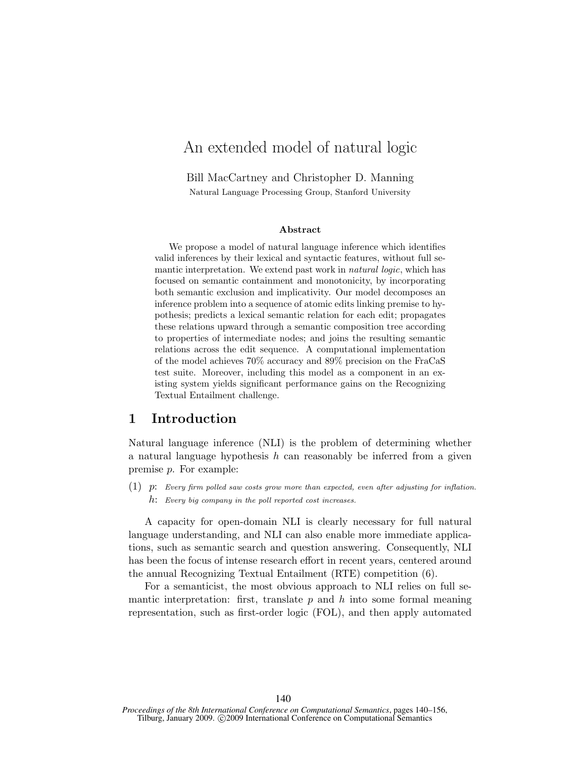# An extended model of natural logic

Bill MacCartney and Christopher D. Manning Natural Language Processing Group, Stanford University

#### Abstract

We propose a model of natural language inference which identifies valid inferences by their lexical and syntactic features, without full semantic interpretation. We extend past work in *natural logic*, which has focused on semantic containment and monotonicity, by incorporating both semantic exclusion and implicativity. Our model decomposes an inference problem into a sequence of atomic edits linking premise to hypothesis; predicts a lexical semantic relation for each edit; propagates these relations upward through a semantic composition tree according to properties of intermediate nodes; and joins the resulting semantic relations across the edit sequence. A computational implementation of the model achieves 70% accuracy and 89% precision on the FraCaS test suite. Moreover, including this model as a component in an existing system yields significant performance gains on the Recognizing Textual Entailment challenge.

### 1 Introduction

Natural language inference (NLI) is the problem of determining whether a natural language hypothesis  $h$  can reasonably be inferred from a given premise p. For example:

 $(1)$  p: Every firm polled saw costs grow more than expected, even after adjusting for inflation.  $h$ : Every big company in the poll reported cost increases.

A capacity for open-domain NLI is clearly necessary for full natural language understanding, and NLI can also enable more immediate applications, such as semantic search and question answering. Consequently, NLI has been the focus of intense research effort in recent years, centered around the annual Recognizing Textual Entailment (RTE) competition (6).

For a semanticist, the most obvious approach to NLI relies on full semantic interpretation: first, translate  $p$  and  $h$  into some formal meaning representation, such as first-order logic (FOL), and then apply automated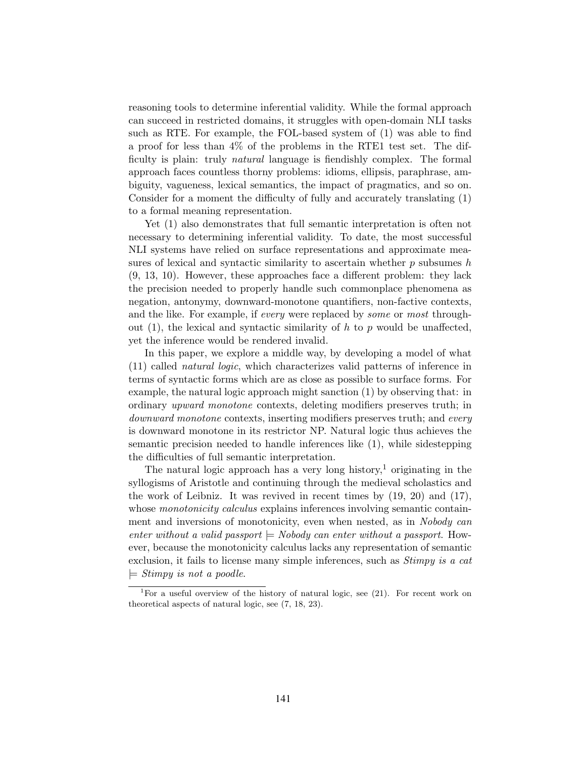reasoning tools to determine inferential validity. While the formal approach can succeed in restricted domains, it struggles with open-domain NLI tasks such as RTE. For example, the FOL-based system of (1) was able to find a proof for less than 4% of the problems in the RTE1 test set. The difficulty is plain: truly natural language is fiendishly complex. The formal approach faces countless thorny problems: idioms, ellipsis, paraphrase, ambiguity, vagueness, lexical semantics, the impact of pragmatics, and so on. Consider for a moment the difficulty of fully and accurately translating (1) to a formal meaning representation.

Yet (1) also demonstrates that full semantic interpretation is often not necessary to determining inferential validity. To date, the most successful NLI systems have relied on surface representations and approximate measures of lexical and syntactic similarity to ascertain whether  $p$  subsumes  $h$ (9, 13, 10). However, these approaches face a different problem: they lack the precision needed to properly handle such commonplace phenomena as negation, antonymy, downward-monotone quantifiers, non-factive contexts, and the like. For example, if every were replaced by some or most throughout (1), the lexical and syntactic similarity of h to p would be unaffected, yet the inference would be rendered invalid.

In this paper, we explore a middle way, by developing a model of what (11) called natural logic, which characterizes valid patterns of inference in terms of syntactic forms which are as close as possible to surface forms. For example, the natural logic approach might sanction (1) by observing that: in ordinary upward monotone contexts, deleting modifiers preserves truth; in downward monotone contexts, inserting modifiers preserves truth; and every is downward monotone in its restrictor NP. Natural logic thus achieves the semantic precision needed to handle inferences like (1), while sidestepping the difficulties of full semantic interpretation.

The natural logic approach has a very long history,<sup>1</sup> originating in the syllogisms of Aristotle and continuing through the medieval scholastics and the work of Leibniz. It was revived in recent times by  $(19, 20)$  and  $(17)$ , whose *monotonicity calculus* explains inferences involving semantic containment and inversions of monotonicity, even when nested, as in Nobody can enter without a valid passport  $\models$  Nobody can enter without a passport. However, because the monotonicity calculus lacks any representation of semantic exclusion, it fails to license many simple inferences, such as *Stimpy is a cat*  $\models$  Stimpy is not a poodle.

<sup>&</sup>lt;sup>1</sup>For a useful overview of the history of natural logic, see  $(21)$ . For recent work on theoretical aspects of natural logic, see (7, 18, 23).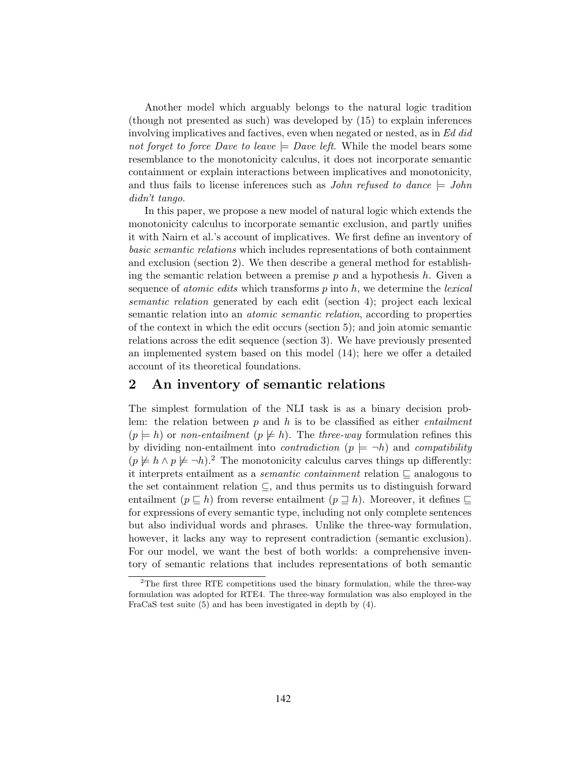Another model which arguably belongs to the natural logic tradition (though not presented as such) was developed by (15) to explain inferences involving implicatives and factives, even when negated or nested, as in Ed did not forget to force Dave to leave  $=$  Dave left. While the model bears some resemblance to the monotonicity calculus, it does not incorporate semantic containment or explain interactions between implicatives and monotonicity, and thus fails to license inferences such as *John refused to dance*  $\vert = John$ didn't tango.

In this paper, we propose a new model of natural logic which extends the monotonicity calculus to incorporate semantic exclusion, and partly unifies it with Nairn et al.'s account of implicatives. We first define an inventory of basic semantic relations which includes representations of both containment and exclusion (section 2). We then describe a general method for establishing the semantic relation between a premise  $p$  and a hypothesis  $h$ . Given a sequence of *atomic edits* which transforms  $p$  into  $h$ , we determine the *lexical* semantic relation generated by each edit (section 4); project each lexical semantic relation into an *atomic semantic relation*, according to properties of the context in which the edit occurs (section 5); and join atomic semantic relations across the edit sequence (section 3). We have previously presented an implemented system based on this model (14); here we offer a detailed account of its theoretical foundations.

### 2 An inventory of semantic relations

The simplest formulation of the NLI task is as a binary decision problem: the relation between  $p$  and  $h$  is to be classified as either *entailment*  $(p \models h)$  or non-entailment  $(p \not\models h)$ . The three-way formulation refines this by dividing non-entailment into *contradiction*  $(p \models \neg h)$  and *compatibility*  $(p \not\models h \land p \not\models \neg h)$ .<sup>2</sup> The monotonicity calculus carves things up differently: it interprets entailment as a *semantic containment* relation  $\subseteq$  analogous to the set containment relation ⊆, and thus permits us to distinguish forward entailment ( $p \subseteq h$ ) from reverse entailment ( $p \supseteq h$ ). Moreover, it defines  $\sqsubseteq$ for expressions of every semantic type, including not only complete sentences but also individual words and phrases. Unlike the three-way formulation, however, it lacks any way to represent contradiction (semantic exclusion). For our model, we want the best of both worlds: a comprehensive inventory of semantic relations that includes representations of both semantic

<sup>&</sup>lt;sup>2</sup>The first three RTE competitions used the binary formulation, while the three-way formulation was adopted for RTE4. The three-way formulation was also employed in the FraCaS test suite (5) and has been investigated in depth by (4).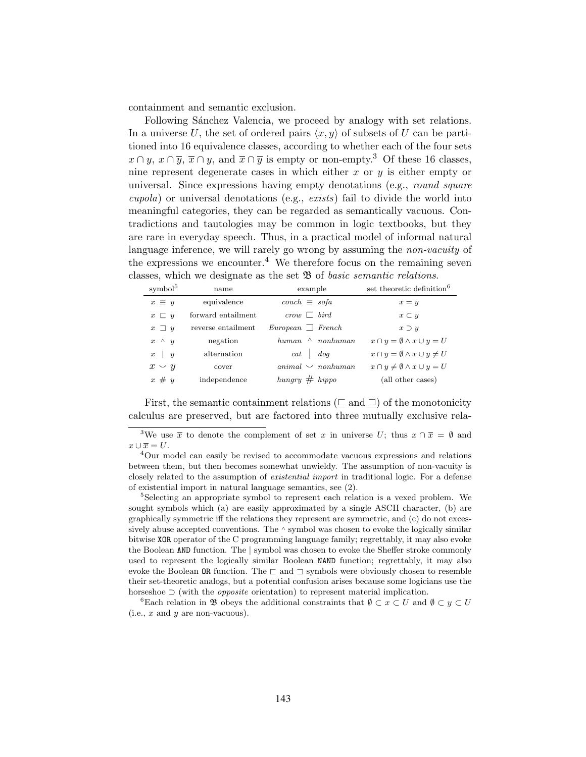containment and semantic exclusion.

Following Sánchez Valencia, we proceed by analogy with set relations. In a universe U, the set of ordered pairs  $\langle x, y \rangle$  of subsets of U can be partitioned into 16 equivalence classes, according to whether each of the four sets  $x \cap y$ ,  $x \cap \overline{y}$ ,  $\overline{x} \cap y$ , and  $\overline{x} \cap \overline{y}$  is empty or non-empty.<sup>3</sup> Of these 16 classes, nine represent degenerate cases in which either x or  $y$  is either empty or universal. Since expressions having empty denotations (e.g., round square cupola) or universal denotations (e.g., exists) fail to divide the world into meaningful categories, they can be regarded as semantically vacuous. Contradictions and tautologies may be common in logic textbooks, but they are rare in everyday speech. Thus, in a practical model of informal natural language inference, we will rarely go wrong by assuming the *non-vacuity* of the expressions we encounter.<sup>4</sup> We therefore focus on the remaining seven classes, which we designate as the set  $\mathfrak{B}$  of *basic semantic relations*.

| $symbol{^{5}}$  | name               | example                                    | set theoretic definition <sup>6</sup>         |
|-----------------|--------------------|--------------------------------------------|-----------------------------------------------|
| $x \equiv y$    | equivalence        | $couch \equiv sofa$                        | $x = y$                                       |
| $x \sqsubset y$ | forward entailment | $_{\mathit{crow}} \sqsubset \mathit{bird}$ | $x \subset y$                                 |
| $x \square y$   | reverse entailment | $European \rvert$ French                   | $x \supset y$                                 |
| $x \wedge y$    | negation           | $\wedge$ nonhuman<br>human                 | $x \cap y = \emptyset \wedge x \cup y = U$    |
| $x \mid y$      | alternation        | $cat \mid dog$                             | $x \cap y = \emptyset \wedge x \cup y \neq U$ |
| $x \vee y$      | cover              | $animal \sim nohuman$                      | $x \cap y \neq \emptyset \wedge x \cup y = U$ |
| $x \# y$        | independence       | $hungry \# hippo$                          | (all other cases)                             |

First, the semantic containment relations ( $\sqsubseteq$  and  $\sqsupseteq$ ) of the monotonicity calculus are preserved, but are factored into three mutually exclusive rela-

<sup>4</sup>Our model can easily be revised to accommodate vacuous expressions and relations between them, but then becomes somewhat unwieldy. The assumption of non-vacuity is closely related to the assumption of existential import in traditional logic. For a defense of existential import in natural language semantics, see (2).

<sup>5</sup>Selecting an appropriate symbol to represent each relation is a vexed problem. We sought symbols which (a) are easily approximated by a single ASCII character, (b) are graphically symmetric iff the relations they represent are symmetric, and (c) do not excessively abuse accepted conventions. The <sup>∧</sup> symbol was chosen to evoke the logically similar bitwise XOR operator of the C programming language family; regrettably, it may also evoke the Boolean AND function. The | symbol was chosen to evoke the Sheffer stroke commonly used to represent the logically similar Boolean NAND function; regrettably, it may also evoke the Boolean OR function. The  $\sqsubset$  and  $\sqsupset$  symbols were obviously chosen to resemble their set-theoretic analogs, but a potential confusion arises because some logicians use the horseshoe  $\supset$  (with the *opposite* orientation) to represent material implication.

<sup>6</sup>Each relation in B obeys the additional constraints that  $\emptyset \subset x \subset U$  and  $\emptyset \subset y \subset U$ (i.e.,  $x$  and  $y$  are non-vacuous).

<sup>&</sup>lt;sup>3</sup>We use  $\bar{x}$  to denote the complement of set x in universe U; thus  $x \cap \bar{x} = \emptyset$  and  $x \cup \overline{x} = U.$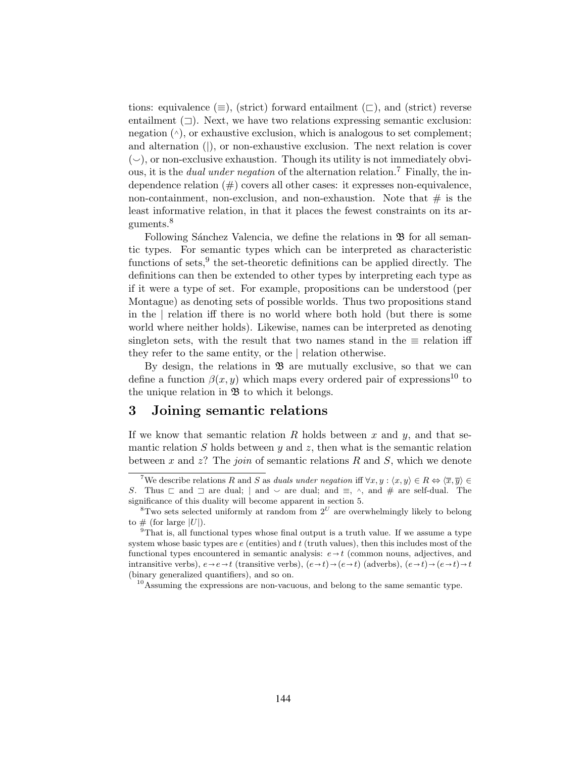tions: equivalence ( $\equiv$ ), (strict) forward entailment ( $\sqsubset$ ), and (strict) reverse entailment (⊐). Next, we have two relations expressing semantic exclusion: negation  $(\wedge)$ , or exhaustive exclusion, which is analogous to set complement; and alternation (|), or non-exhaustive exclusion. The next relation is cover  $(\sim)$ , or non-exclusive exhaustion. Though its utility is not immediately obvious, it is the *dual under negation* of the alternation relation.<sup>7</sup> Finally, the independence relation  $(\#)$  covers all other cases: it expresses non-equivalence, non-containment, non-exclusion, and non-exhaustion. Note that  $\#$  is the least informative relation, in that it places the fewest constraints on its arguments.<sup>8</sup>

Following Sánchez Valencia, we define the relations in  $\mathfrak{B}$  for all semantic types. For semantic types which can be interpreted as characteristic functions of sets,<sup>9</sup> the set-theoretic definitions can be applied directly. The definitions can then be extended to other types by interpreting each type as if it were a type of set. For example, propositions can be understood (per Montague) as denoting sets of possible worlds. Thus two propositions stand in the | relation iff there is no world where both hold (but there is some world where neither holds). Likewise, names can be interpreted as denoting singleton sets, with the result that two names stand in the  $\equiv$  relation iff they refer to the same entity, or the | relation otherwise.

By design, the relations in  $\mathfrak{B}$  are mutually exclusive, so that we can define a function  $\beta(x, y)$  which maps every ordered pair of expressions<sup>10</sup> to the unique relation in  $\mathfrak B$  to which it belongs.

### 3 Joining semantic relations

If we know that semantic relation R holds between x and y, and that semantic relation S holds between  $y$  and  $z$ , then what is the semantic relation between  $x$  and  $z$ ? The *join* of semantic relations  $R$  and  $S$ , which we denote

<sup>&</sup>lt;sup>7</sup>We describe relations R and S as duals under negation iff  $\forall x, y : \langle x, y \rangle \in R \Leftrightarrow \langle \overline{x}, \overline{y} \rangle \in$ S. Thus  $\Box$  and  $\Box$  are dual; | and  $\lor$  are dual; and  $\equiv$ ,  $\land$ , and  $\#$  are self-dual. The significance of this duality will become apparent in section 5.

 ${}^{8}$ Two sets selected uniformly at random from  $2^{U}$  are overwhelmingly likely to belong to  $\#$  (for large  $|U|$ ).

 $9^9$ That is, all functional types whose final output is a truth value. If we assume a type system whose basic types are  $e$  (entities) and  $t$  (truth values), then this includes most of the functional types encountered in semantic analysis:  $e \rightarrow t$  (common nouns, adjectives, and intransitive verbs),  $e \rightarrow e \rightarrow t$  (transitive verbs),  $(e \rightarrow t) \rightarrow (e \rightarrow t)$  (adverbs),  $(e \rightarrow t) \rightarrow (e \rightarrow t) \rightarrow t$ (binary generalized quantifiers), and so on.

 $10$ Assuming the expressions are non-vacuous, and belong to the same semantic type.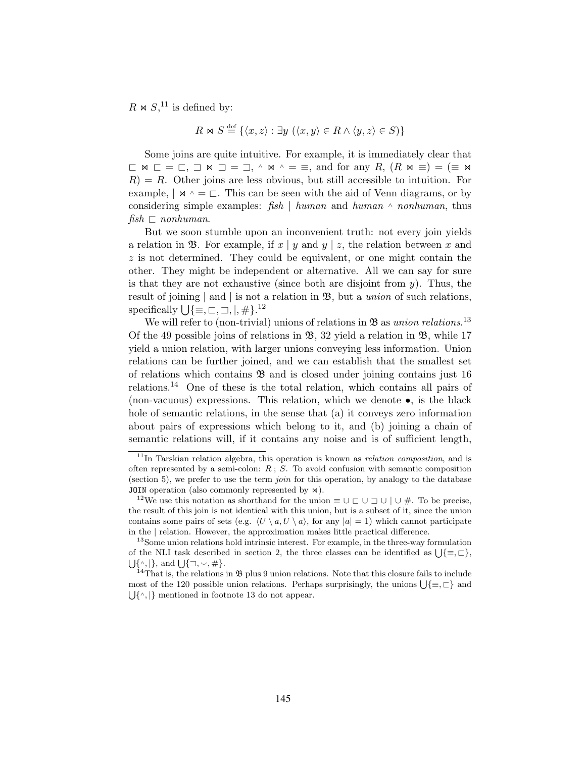$R \bowtie S$ <sup>11</sup> is defined by:

$$
R \bowtie S \stackrel{\text{def}}{=} \{ \langle x, z \rangle : \exists y \ (\langle x, y \rangle \in R \land \langle y, z \rangle \in S) \}
$$

Some joins are quite intuitive. For example, it is immediately clear that  $\Box$   $\triangleright \Box$   $\Box$   $\Box$   $\Box$   $\Box$   $\Box$ ,  $\land$   $\triangleright \neg$   $\bot$   $\equiv$ , and for any  $R$ ,  $(R \Join \equiv)$   $\equiv$   $(\equiv \Join$  $R$ ) = R. Other joins are less obvious, but still accessible to intuition. For example,  $\vert \mathbb{A} \rangle \sim \vert \mathbb{C} \rangle$ . This can be seen with the aid of Venn diagrams, or by considering simple examples:  $fish \mid human$  and human  $\land nonhuman$ , thus  $fish \sqsubset nonhuman.$ 

But we soon stumble upon an inconvenient truth: not every join yields a relation in B. For example, if  $x \mid y$  and  $y \mid z$ , the relation between x and  $z$  is not determined. They could be equivalent, or one might contain the other. They might be independent or alternative. All we can say for sure is that they are not exhaustive (since both are disjoint from  $y$ ). Thus, the result of joining | and | is not a relation in  $\mathfrak{B}$ , but a *union* of such relations, specifically  $\bigcup{\{\equiv,\sqsubset,\sqsupset, \mid,\# \}}$ .<sup>12</sup>

We will refer to (non-trivial) unions of relations in  $\mathfrak{B}$  as union relations.<sup>13</sup> Of the 49 possible joins of relations in  $\mathfrak{B}$ , 32 yield a relation in  $\mathfrak{B}$ , while 17 yield a union relation, with larger unions conveying less information. Union relations can be further joined, and we can establish that the smallest set of relations which contains  $\mathfrak{B}$  and is closed under joining contains just 16 relations.<sup>14</sup> One of these is the total relation, which contains all pairs of (non-vacuous) expressions. This relation, which we denote •, is the black hole of semantic relations, in the sense that (a) it conveys zero information about pairs of expressions which belong to it, and (b) joining a chain of semantic relations will, if it contains any noise and is of sufficient length,

 $11$ In Tarskian relation algebra, this operation is known as *relation composition*, and is often represented by a semi-colon:  $R$ ;  $S$ . To avoid confusion with semantic composition (section 5), we prefer to use the term *join* for this operation, by analogy to the database JOIN operation (also commonly represented by  $\bowtie$ ).

<sup>&</sup>lt;sup>12</sup>We use this notation as shorthand for the union  $\equiv \cup \sqsubset \cup \sqsupset \cup \neq \bot$ . To be precise, the result of this join is not identical with this union, but is a subset of it, since the union contains some pairs of sets (e.g.  $\langle U \setminus a, U \setminus a \rangle$ , for any  $|a| = 1$ ) which cannot participate in the | relation. However, the approximation makes little practical difference.

<sup>&</sup>lt;sup>13</sup>Some union relations hold intrinsic interest. For example, in the three-way formulation of the NLI task described in section 2, the three classes can be identified as  $\bigcup{\{\equiv,\sqsubset\}}$ ,  $\{ \big|\}$ , and  $\{\big|\}$ ,  $\cup,\neq\}$ .  $\{\hat{\ }$ ,  $\},$  and  $\bigcup \{\exists, \check{\ }$ , # $\}.$ 

<sup>&</sup>lt;sup>14</sup>That is, the relations in  $\mathfrak B$  plus 9 union relations. Note that this closure fails to include most of the 120 possible union relations. Perhaps surprisingly, the unions  $\bigcup \{\equiv, \sqsubset \}$  and  $\bigcup \{\wedge, \varphi\}$  mentioned in footnote 13 do not appear.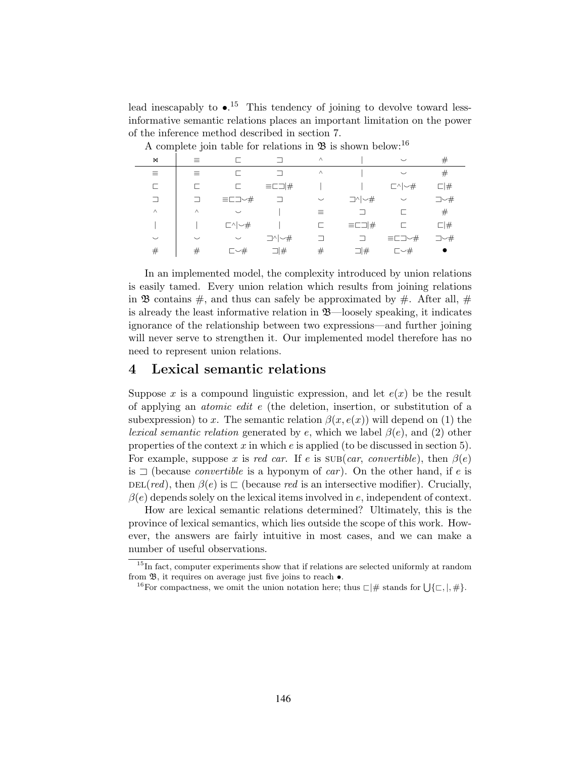lead inescapably to  $\bullet$ .<sup>15</sup> This tendency of joining to devolve toward lessinformative semantic relations places an important limitation on the power of the inference method described in section 7.

| M        | $\equiv$ |                                 |                             | $\wedge$ |                             | $\smile$                        | $^{\#}$     |
|----------|----------|---------------------------------|-----------------------------|----------|-----------------------------|---------------------------------|-------------|
| ≡        | 亖        |                                 |                             | $\land$  |                             | $\smile$                        | $^{\#}$     |
|          | ┍        |                                 | $\equiv$ $\Box$  #          |          |                             | $\Box \setminus \rightarrow \#$ | $\square$ # |
| $\Box$   | ⊐        | $\equiv$ $\Box$ $\sim$ $\neq$   | ⊐                           | $\smile$ | $\Box \wedge \vert \neg \#$ | $\smile$                        | コー#         |
| $\wedge$ | $\wedge$ | $\smile$                        |                             | $\equiv$ |                             |                                 | #           |
|          |          | $\Box \setminus \rightarrow \#$ |                             | E.       | $\equiv$ $\Box$  #          |                                 | $\square$ # |
| $\smile$ | $\smile$ | $\smile$                        | $\Box \wedge \vert \neg \#$ | ┑        | $\Box$                      | $\equiv$ C $\sqsupset$ $\sim$ # | コー#         |
| #        | #        | $\Box \rightarrow \#$           | $\Box$ #                    | #        | $\Box$ #                    | $\bar{z}$ $\sim$ $\#$           | $\bullet$   |

A complete join table for relations in  $\mathfrak B$  is shown below:<sup>16</sup>

In an implemented model, the complexity introduced by union relations is easily tamed. Every union relation which results from joining relations in **B** contains  $\#$ , and thus can safely be approximated by  $\#$ . After all,  $\#$ is already the least informative relation in  $\mathfrak{B}$ —loosely speaking, it indicates ignorance of the relationship between two expressions—and further joining will never serve to strengthen it. Our implemented model therefore has no need to represent union relations.

#### 4 Lexical semantic relations

Suppose x is a compound linguistic expression, and let  $e(x)$  be the result of applying an atomic edit e (the deletion, insertion, or substitution of a subexpression) to x. The semantic relation  $\beta(x, e(x))$  will depend on (1) the *lexical semantic relation* generated by e, which we label  $\beta(e)$ , and (2) other properties of the context  $x$  in which  $e$  is applied (to be discussed in section 5). For example, suppose x is red car. If e is  $\text{SUB}(car, convertible)$ , then  $\beta(e)$ is  $\Box$  (because *convertible* is a hyponym of *car*). On the other hand, if *e* is  $DEL(red)$ , then  $\beta(e)$  is  $\Box$  (because red is an intersective modifier). Crucially,  $\beta(e)$  depends solely on the lexical items involved in e, independent of context.

How are lexical semantic relations determined? Ultimately, this is the province of lexical semantics, which lies outside the scope of this work. However, the answers are fairly intuitive in most cases, and we can make a number of useful observations.

<sup>&</sup>lt;sup>15</sup>In fact, computer experiments show that if relations are selected uniformly at random from  $\mathfrak{B}$ , it requires on average just five joins to reach  $\bullet$ .

<sup>&</sup>lt;sup>16</sup>For compactness, we omit the union notation here; thus  $\Box \#$  stands for  $\bigcup \{\Box, \Box, \# \}.$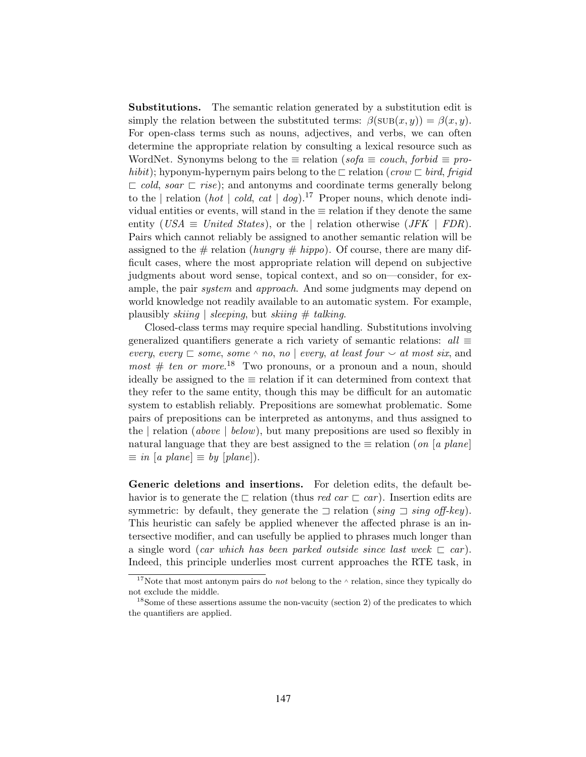Substitutions. The semantic relation generated by a substitution edit is simply the relation between the substituted terms:  $\beta(\text{SUB}(x, y)) = \beta(x, y)$ . For open-class terms such as nouns, adjectives, and verbs, we can often determine the appropriate relation by consulting a lexical resource such as WordNet. Synonyms belong to the  $\equiv$  relation (sofa  $\equiv$  couch, forbid  $\equiv$  prohibit); hyponym-hypernym pairs belong to the  $\Box$  relation (crow  $\Box$  bird, frigid  $\Box$  cold, soar  $\Box$  rise); and antonyms and coordinate terms generally belong to the | relation (*hot* | cold, cat | dog).<sup>17</sup> Proper nouns, which denote individual entities or events, will stand in the  $\equiv$  relation if they denote the same entity (USA  $\equiv$  United States), or the | relation otherwise (JFK | FDR). Pairs which cannot reliably be assigned to another semantic relation will be assigned to the # relation (hungry # hippo). Of course, there are many difficult cases, where the most appropriate relation will depend on subjective judgments about word sense, topical context, and so on—consider, for example, the pair *system* and *approach*. And some judgments may depend on world knowledge not readily available to an automatic system. For example, plausibly *skiing* | *sleeping*, but *skiing*  $\#$  *talking*.

Closed-class terms may require special handling. Substitutions involving generalized quantifiers generate a rich variety of semantic relations:  $all \equiv$ every, every  $\sqsubset$  some, some  $\land$  no, no | every, at least four  $\smile$  at most six, and *most*  $# ten or more.<sup>18</sup> Two pronouns, or a pronoun and a noun, should$ ideally be assigned to the  $\equiv$  relation if it can determined from context that they refer to the same entity, though this may be difficult for an automatic system to establish reliably. Prepositions are somewhat problematic. Some pairs of prepositions can be interpreted as antonyms, and thus assigned to the | relation (above | below), but many prepositions are used so flexibly in natural language that they are best assigned to the  $\equiv$  relation (on [a plane]  $\equiv$  in [a plane]  $\equiv$  by [plane]).

Generic deletions and insertions. For deletion edits, the default behavior is to generate the  $\sqsubset$  relation (thus red car  $\sqsubset$  car). Insertion edits are symmetric: by default, they generate the  $\exists$  relation (sing  $\exists$  sing off-key). This heuristic can safely be applied whenever the affected phrase is an intersective modifier, and can usefully be applied to phrases much longer than a single word (car which has been parked outside since last week  $\sqsubset$  car). Indeed, this principle underlies most current approaches the RTE task, in

<sup>&</sup>lt;sup>17</sup>Note that most antonym pairs do *not* belong to the  $\land$  relation, since they typically do not exclude the middle.

 $18$ Some of these assertions assume the non-vacuity (section 2) of the predicates to which the quantifiers are applied.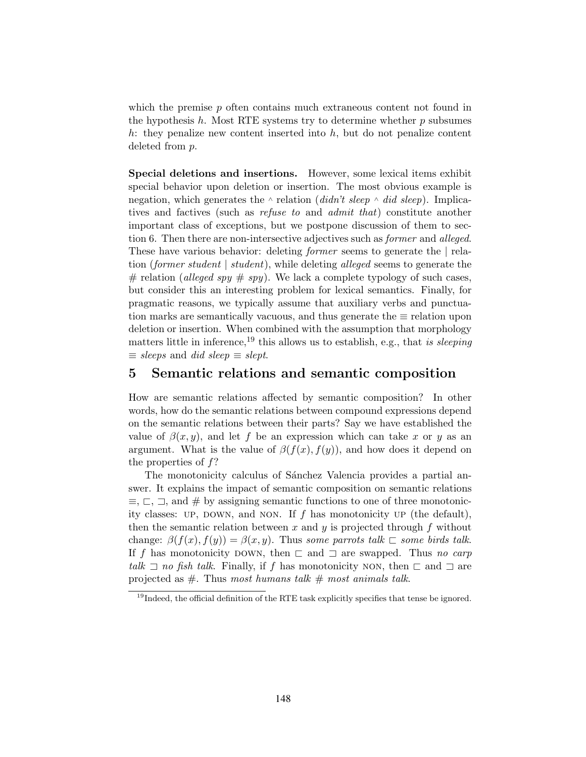which the premise  $p$  often contains much extraneous content not found in the hypothesis  $h$ . Most RTE systems try to determine whether  $p$  subsumes h: they penalize new content inserted into  $h$ , but do not penalize content deleted from p.

Special deletions and insertions. However, some lexical items exhibit special behavior upon deletion or insertion. The most obvious example is negation, which generates the  $\land$  relation (didn't sleep  $\land$  did sleep). Implicatives and factives (such as refuse to and admit that) constitute another important class of exceptions, but we postpone discussion of them to section 6. Then there are non-intersective adjectives such as *former* and *alleged*. These have various behavior: deleting former seems to generate the | relation (former student), while deleting alleged seems to generate the # relation (alleged spy  $\#$  spy). We lack a complete typology of such cases, but consider this an interesting problem for lexical semantics. Finally, for pragmatic reasons, we typically assume that auxiliary verbs and punctuation marks are semantically vacuous, and thus generate the  $\equiv$  relation upon deletion or insertion. When combined with the assumption that morphology matters little in inference,<sup>19</sup> this allows us to establish, e.g., that is sleeping  $\equiv$  sleeps and did sleep  $\equiv$  slept.

#### 5 Semantic relations and semantic composition

How are semantic relations affected by semantic composition? In other words, how do the semantic relations between compound expressions depend on the semantic relations between their parts? Say we have established the value of  $\beta(x, y)$ , and let f be an expression which can take x or y as an argument. What is the value of  $\beta(f(x), f(y))$ , and how does it depend on the properties of  $f$ ?

The monotonicity calculus of Sánchez Valencia provides a partial answer. It explains the impact of semantic composition on semantic relations  $\equiv, \sqsubset, \sqsupset$ , and  $\#$  by assigning semantic functions to one of three monotonicity classes: UP, DOWN, and NON. If f has monotonicity UP (the default), then the semantic relation between x and y is projected through f without change:  $\beta(f(x), f(y)) = \beta(x, y)$ . Thus some parrots talk  $\Box$  some birds talk. If f has monotonicity DOWN, then  $\Box$  and  $\Box$  are swapped. Thus no carp talk  $\exists$  no fish talk. Finally, if f has monotonicity NON, then  $\sqsubset$  and  $\sqsupset$  are projected as  $#$ . Thus most humans talk  $#$  most animals talk.

<sup>&</sup>lt;sup>19</sup>Indeed, the official definition of the RTE task explicitly specifies that tense be ignored.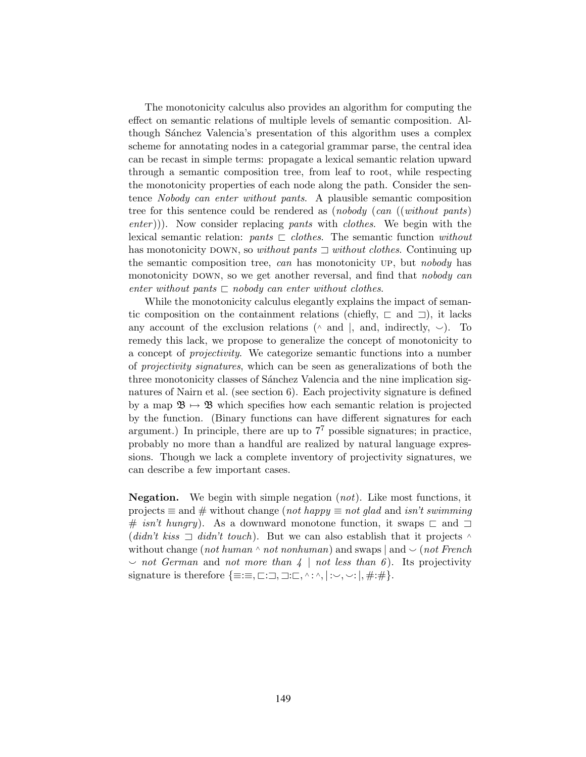The monotonicity calculus also provides an algorithm for computing the effect on semantic relations of multiple levels of semantic composition. Although Sánchez Valencia's presentation of this algorithm uses a complex scheme for annotating nodes in a categorial grammar parse, the central idea can be recast in simple terms: propagate a lexical semantic relation upward through a semantic composition tree, from leaf to root, while respecting the monotonicity properties of each node along the path. Consider the sentence Nobody can enter without pants. A plausible semantic composition tree for this sentence could be rendered as (nobody (can ((without pants) enter)). Now consider replacing pants with *clothes*. We begin with the lexical semantic relation: pants  $\Box$  clothes. The semantic function without has monotonicity DOWN, so *without pants*  $\exists$  *without clothes.* Continuing up the semantic composition tree, can has monotonicity UP, but nobody has monotonicity DOWN, so we get another reversal, and find that *nobody can* enter without pants  $\Box$  nobody can enter without clothes.

While the monotonicity calculus elegantly explains the impact of semantic composition on the containment relations (chiefly,  $\sqsubset$  and  $\sqsupset$ ), it lacks any account of the exclusion relations ( $\land$  and  $\vert$ , and, indirectly,  $\sim$ ). To remedy this lack, we propose to generalize the concept of monotonicity to a concept of projectivity. We categorize semantic functions into a number of projectivity signatures, which can be seen as generalizations of both the three monotonicity classes of Sánchez Valencia and the nine implication signatures of Nairn et al. (see section 6). Each projectivity signature is defined by a map  $\mathfrak{B} \mapsto \mathfrak{B}$  which specifies how each semantic relation is projected by the function. (Binary functions can have different signatures for each argument.) In principle, there are up to  $7<sup>7</sup>$  possible signatures; in practice, probably no more than a handful are realized by natural language expressions. Though we lack a complete inventory of projectivity signatures, we can describe a few important cases.

**Negation.** We begin with simple negation  $(not)$ . Like most functions, it projects  $\equiv$  and  $\#$  without change (not happy  $\equiv$  not glad and isn't swimming # isn't hungry). As a downward monotone function, it swaps  $\sqsubset$  and  $\sqsupset$ (didn't kiss  $\Box$  didn't touch). But we can also establish that it projects  $\land$ without change (not human  $\land$  not nonhuman) and swaps | and  $\lor$  (not French  $\sim$  not German and not more than  $4 \mid not$  less than 6). Its projectivity signature is therefore  $\{\equiv:\equiv,\sqsubset:\sqsupset,\sqsupset:\sqsubset,\wedge:\wedge,\mid:\vee,\vee:\mid,\#:\#\}.$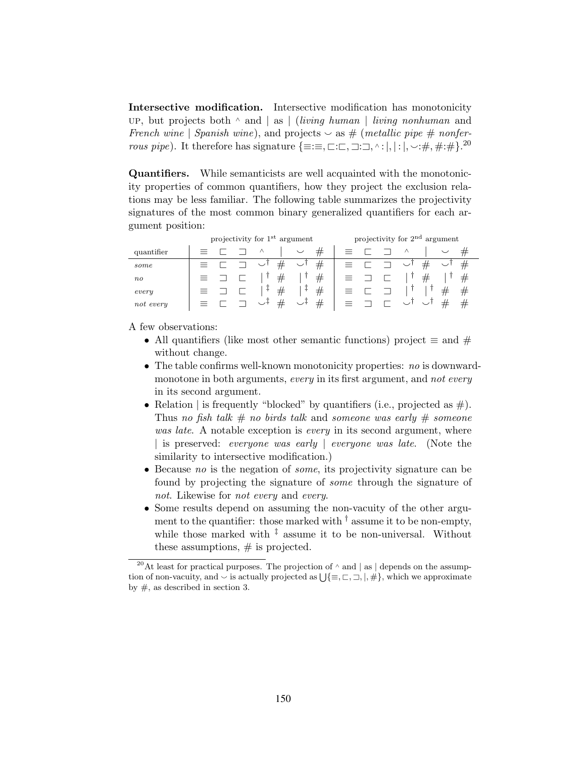Intersective modification. Intersective modification has monotonicity UP, but projects both ∧ and | as | (living human | living nonhuman and French wine | Spanish wine), and projects  $\sim$  as # (metallic pipe # nonferrous pipe). It therefore has signature  $\{\equiv:\equiv,\sqsubset:\sqsubset,\sqsupset:\sqsupset,\wedge:|,|:|,\smile:\#,\#:\#$ .<sup>20</sup>

Quantifiers. While semanticists are well acquainted with the monotonicity properties of common quantifiers, how they project the exclusion relations may be less familiar. The following table summarizes the projectivity signatures of the most common binary generalized quantifiers for each argument position:

|            | projectivity for 1 <sup>st</sup> argument |  |  |        |  | projectivity for 2 <sup>nd</sup> argument |  |  |  |  |   |   |   |
|------------|-------------------------------------------|--|--|--------|--|-------------------------------------------|--|--|--|--|---|---|---|
| quantifier |                                           |  |  |        |  |                                           |  |  |  |  |   |   |   |
| some       |                                           |  |  |        |  | #                                         |  |  |  |  |   |   | # |
| $n_{O}$    |                                           |  |  | #      |  | #                                         |  |  |  |  | # |   | # |
| every      |                                           |  |  | #<br>+ |  | #                                         |  |  |  |  |   | # | # |
| not every  |                                           |  |  |        |  | #                                         |  |  |  |  |   |   | # |

A few observations:

- All quantifiers (like most other semantic functions) project  $\equiv$  and  $\#$ without change.
- The table confirms well-known monotonicity properties: no is downwardmonotone in both arguments, every in its first argument, and not every in its second argument.
- Relation | is frequently "blocked" by quantifiers (i.e., projected as  $#$ ). Thus no fish talk  $\#$  no birds talk and someone was early  $\#$  someone was late. A notable exception is *every* in its second argument, where | is preserved: everyone was early | everyone was late. (Note the similarity to intersective modification.)
- Because no is the negation of *some*, its projectivity signature can be found by projecting the signature of some through the signature of not. Likewise for not every and every.
- Some results depend on assuming the non-vacuity of the other argument to the quantifier: those marked with  $\dagger$  assume it to be non-empty, while those marked with  $\frac{1}{k}$  assume it to be non-universal. Without these assumptions,  $#$  is projected.

<sup>&</sup>lt;sup>20</sup>At least for practical purposes. The projection of  $\land$  and | as | depends on the assumption of non-vacuity, and  $\vee$  is actually projected as  $\bigcup{\{\equiv,\sqsubset,\sqsupset, \mid,\#\}}$ , which we approximate by  $\#$ , as described in section 3.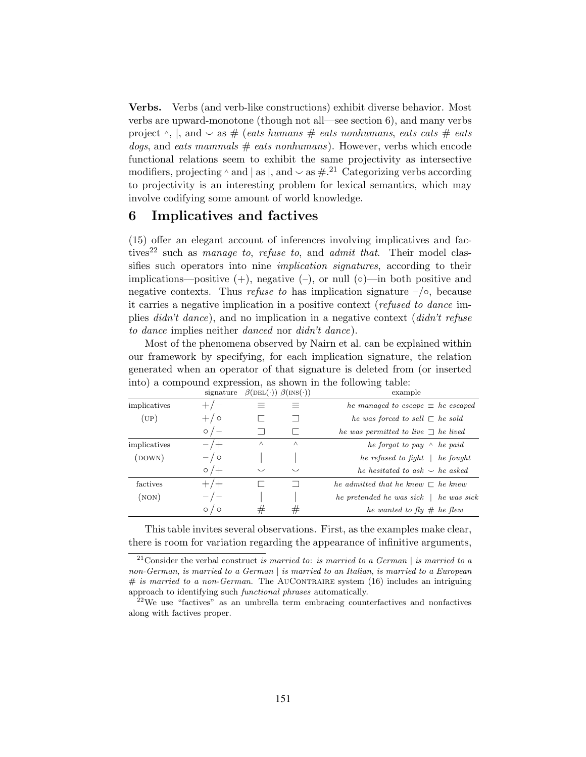Verbs. Verbs (and verb-like constructions) exhibit diverse behavior. Most verbs are upward-monotone (though not all—see section 6), and many verbs project  $\wedge$ , |, and  $\vee$  as # (eats humans # eats nonhumans, eats cats # eats  $dogs$ , and eats mammals  $#$  eats nonhumans). However, verbs which encode functional relations seem to exhibit the same projectivity as intersective modifiers, projecting  $\land$  and  $\mid$  as  $\mid$ , and  $\sim$  as  $\#^{21}$  Categorizing verbs according to projectivity is an interesting problem for lexical semantics, which may involve codifying some amount of world knowledge.

#### 6 Implicatives and factives

(15) offer an elegant account of inferences involving implicatives and factives<sup>22</sup> such as *manage to, refuse to, and admit that.* Their model classifies such operators into nine *implication signatures*, according to their implications—positive  $(+)$ , negative  $(-)$ , or null  $(∘)$ —in both positive and negative contexts. Thus refuse to has implication signature  $-\sqrt{\circ}$ , because it carries a negative implication in a positive context (refused to dance implies didn't dance), and no implication in a negative context (didn't refuse to dance implies neither danced nor didn't dance).

Most of the phenomena observed by Nairn et al. can be explained within our framework by specifying, for each implication signature, the relation generated when an operator of that signature is deleted from (or inserted into) a compound expression, as shown in the following table:

|                 | signature     | $\beta(\text{DEL}(\cdot))$ $\beta(\text{INS}(\cdot))$ |          | example                                          |
|-----------------|---------------|-------------------------------------------------------|----------|--------------------------------------------------|
| implicatives    | $+/-$         |                                                       | =        | he managed to escape $\equiv$ he escaped         |
| $(\mathrm{UP})$ | $+/-$         |                                                       |          | he was forced to sell $\sqsubset$ he sold        |
|                 | $\circ$ / $-$ |                                                       |          | he was permitted to live $\Box$ he lived         |
| implicatives    | $-$ /+        | $\wedge$                                              | $\wedge$ | he forgot to pay $\wedge$ he paid                |
| (DOWN)          | $-$ / $\circ$ |                                                       |          | he refused to fight $\vert$ he fought            |
|                 | $\circ$ / $+$ | $\checkmark$                                          | $\smile$ | he hesitated to ask $\backsim$ he asked          |
| factives        | $+/-$         |                                                       |          | he admitted that he knew $\Gamma$ he knew        |
| $($ NON $)$     | $-/-$         |                                                       |          | he pretended he was sick $\parallel$ he was sick |
|                 | 70<br>$\circ$ | #                                                     | #        | he wanted to fly $\#$ he flew                    |

This table invites several observations. First, as the examples make clear, there is room for variation regarding the appearance of infinitive arguments,

 $\frac{1}{21}$ Consider the verbal construct is married to: is married to a German | is married to a non-German, is married to a German | is married to an Italian, is married to a European  $\#$  is married to a non-German. The AUCONTRAIRE system (16) includes an intriguing approach to identifying such functional phrases automatically.

 $22$ <sup>22</sup>We use "factives" as an umbrella term embracing counterfactives and nonfactives along with factives proper.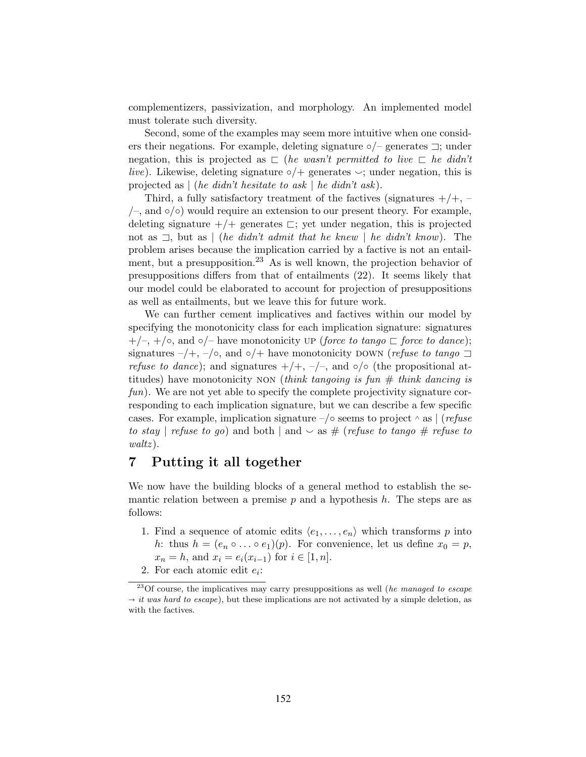complementizers, passivization, and morphology. An implemented model must tolerate such diversity.

Second, some of the examples may seem more intuitive when one considers their negations. For example, deleting signature ◦/– generates ⊐; under negation, this is projected as  $\Box$  (he wasn't permitted to live  $\Box$  he didn't live). Likewise, deleting signature  $\circ/$  generates  $\circ$ ; under negation, this is projected as  $|$  (he didn't hesitate to ask  $|$  he didn't ask).

Third, a fully satisfactory treatment of the factives (signatures  $+/+, /$ –, and  $\circ/$ ) would require an extension to our present theory. For example, deleting signature  $+/+$  generates  $\sqsubset$ ; yet under negation, this is projected not as  $\exists$ , but as | (he didn't admit that he knew | he didn't know). The problem arises because the implication carried by a factive is not an entailment, but a presupposition.<sup>23</sup> As is well known, the projection behavior of presuppositions differs from that of entailments (22). It seems likely that our model could be elaborated to account for projection of presuppositions as well as entailments, but we leave this for future work.

We can further cement implicatives and factives within our model by specifying the monotonicity class for each implication signature: signatures  $+/-$ ,  $+/\circ$ , and  $\circ/-$  have monotonicity up (force to tango  $\sqsubset$  force to dance); signatures –/+, –/◦, and ∘/+ have monotonicity DOWN (refuse to tango  $\Box$ *refuse to dance*); and signatures  $+/+$ ,  $-/-$ , and ∘/◦ (the propositional attitudes) have monotonicity NON (think tangoing is fun  $\#$  think dancing is fun). We are not yet able to specify the complete projectivity signature corresponding to each implication signature, but we can describe a few specific cases. For example, implication signature –/◦ seems to project  $\land$  as  $\mid$  (*refuse* to stay | refuse to go) and both | and  $\sim$  as # (refuse to tango # refuse to  $walkz)$ .

## 7 Putting it all together

We now have the building blocks of a general method to establish the semantic relation between a premise  $p$  and a hypothesis  $h$ . The steps are as follows:

- 1. Find a sequence of atomic edits  $\langle e_1, \ldots, e_n \rangle$  which transforms p into h: thus  $h = (e_n \circ \dots \circ e_1)(p)$ . For convenience, let us define  $x_0 = p$ ,  $x_n = h$ , and  $x_i = e_i(x_{i-1})$  for  $i \in [1, n]$ .
- 2. For each atomic edit  $e_i$ :

 $23$ Of course, the implicatives may carry presuppositions as well (he managed to escape  $\rightarrow it$  was hard to escape), but these implications are not activated by a simple deletion, as with the factives.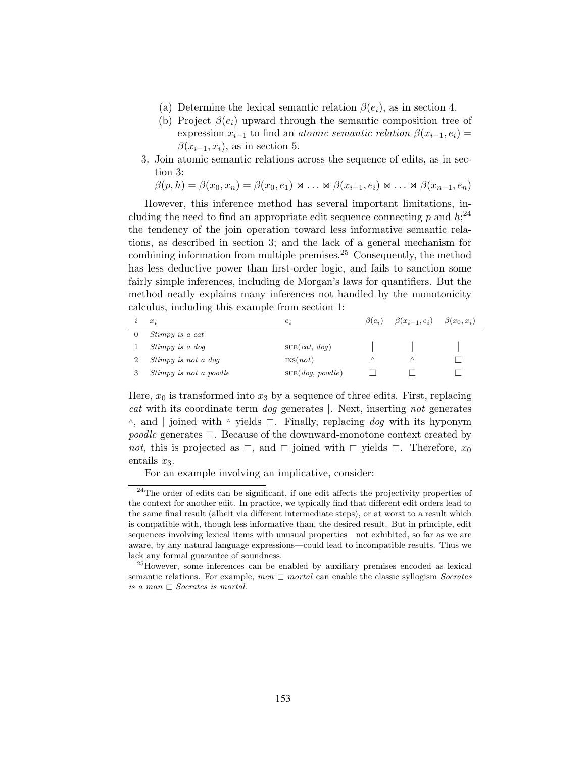- (a) Determine the lexical semantic relation  $\beta(e_i)$ , as in section 4.
- (b) Project  $\beta(e_i)$  upward through the semantic composition tree of expression  $x_{i-1}$  to find an *atomic semantic relation*  $\beta(x_{i-1}, e_i) =$  $\beta(x_{i-1}, x_i)$ , as in section 5.
- 3. Join atomic semantic relations across the sequence of edits, as in section 3:

$$
\beta(p,h) = \beta(x_0,x_n) = \beta(x_0,e_1) \bowtie \ldots \bowtie \beta(x_{i-1},e_i) \bowtie \ldots \bowtie \beta(x_{n-1},e_n)
$$

However, this inference method has several important limitations, including the need to find an appropriate edit sequence connecting  $p$  and  $h$ ;<sup>24</sup> the tendency of the join operation toward less informative semantic relations, as described in section 3; and the lack of a general mechanism for combining information from multiple premises.<sup>25</sup> Consequently, the method has less deductive power than first-order logic, and fails to sanction some fairly simple inferences, including de Morgan's laws for quantifiers. But the method neatly explains many inferences not handled by the monotonicity calculus, including this example from section 1:

| $x_i$                  | $e_i$            | $\beta(e_i)$ | $\beta(x_{i-1},e_i)$ $\beta(x_0,x_i)$ |  |
|------------------------|------------------|--------------|---------------------------------------|--|
| Stimpy is a cat        |                  |              |                                       |  |
| Stimpy is a dog        | SUB(cat, dog)    |              |                                       |  |
| Stimpy is not a dog    | INS(not)         |              |                                       |  |
| Stimpy is not a poodle | SUB(dog, poodle) |              |                                       |  |

Here,  $x_0$  is transformed into  $x_3$  by a sequence of three edits. First, replacing cat with its coordinate term dog generates |. Next, inserting not generates  $\wedge$ , and | joined with  $\wedge$  yields  $\sqsubset$ . Finally, replacing dog with its hyponym poodle generates ⊐. Because of the downward-monotone context created by not, this is projected as  $\sqsubset$ , and  $\sqsubset$  joined with  $\sqsubset$  yields  $\sqsubset$ . Therefore,  $x_0$ entails  $x_3$ .

For an example involving an implicative, consider:

<sup>&</sup>lt;sup>24</sup>The order of edits can be significant, if one edit affects the projectivity properties of the context for another edit. In practice, we typically find that different edit orders lead to the same final result (albeit via different intermediate steps), or at worst to a result which is compatible with, though less informative than, the desired result. But in principle, edit sequences involving lexical items with unusual properties—not exhibited, so far as we are aware, by any natural language expressions—could lead to incompatible results. Thus we lack any formal guarantee of soundness.

<sup>&</sup>lt;sup>25</sup>However, some inferences can be enabled by auxiliary premises encoded as lexical semantic relations. For example, men  $\Box$  mortal can enable the classic syllogism Socrates is a man  $\sqsubset$  Socrates is mortal.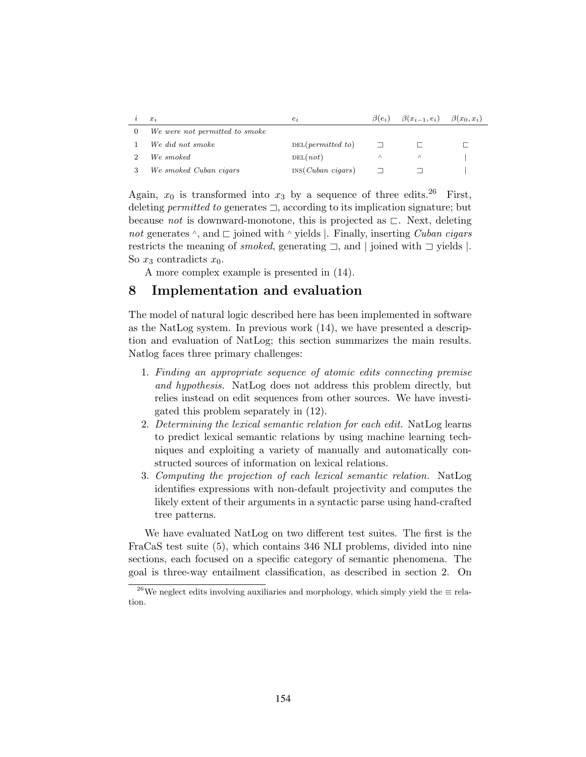| $x_i$                          | $e_i$                  | $\beta(e_i)$ | $\beta(x_{i-1},e_i)$ $\beta(x_0,x_i)$ |  |
|--------------------------------|------------------------|--------------|---------------------------------------|--|
| We were not permitted to smoke |                        |              |                                       |  |
| We did not smoke               | DEL(permitted to)      |              |                                       |  |
| We smoked                      | DEL(not)               | Λ            |                                       |  |
| We smoked Cuban cigars         | $INS(Cuban \; ciqars)$ |              |                                       |  |

Again,  $x_0$  is transformed into  $x_3$  by a sequence of three edits.<sup>26</sup> First, deleting permitted to generates ⊐, according to its implication signature; but because not is downward-monotone, this is projected as  $\sqsubset$ . Next, deleting not generates  $\land$ , and  $\Box$  joined with  $\land$  yields |. Finally, inserting *Cuban cigars* restricts the meaning of smoked, generating ⊐, and | joined with ⊐ yields |. So  $x_3$  contradicts  $x_0$ .

A more complex example is presented in (14).

# 8 Implementation and evaluation

The model of natural logic described here has been implemented in software as the NatLog system. In previous work (14), we have presented a description and evaluation of NatLog; this section summarizes the main results. Natlog faces three primary challenges:

- 1. Finding an appropriate sequence of atomic edits connecting premise and hypothesis. NatLog does not address this problem directly, but relies instead on edit sequences from other sources. We have investigated this problem separately in (12).
- 2. Determining the lexical semantic relation for each edit. NatLog learns to predict lexical semantic relations by using machine learning techniques and exploiting a variety of manually and automatically constructed sources of information on lexical relations.
- 3. Computing the projection of each lexical semantic relation. NatLog identifies expressions with non-default projectivity and computes the likely extent of their arguments in a syntactic parse using hand-crafted tree patterns.

We have evaluated NatLog on two different test suites. The first is the FraCaS test suite (5), which contains 346 NLI problems, divided into nine sections, each focused on a specific category of semantic phenomena. The goal is three-way entailment classification, as described in section 2. On

<sup>&</sup>lt;sup>26</sup>We neglect edits involving auxiliaries and morphology, which simply yield the  $\equiv$  relation.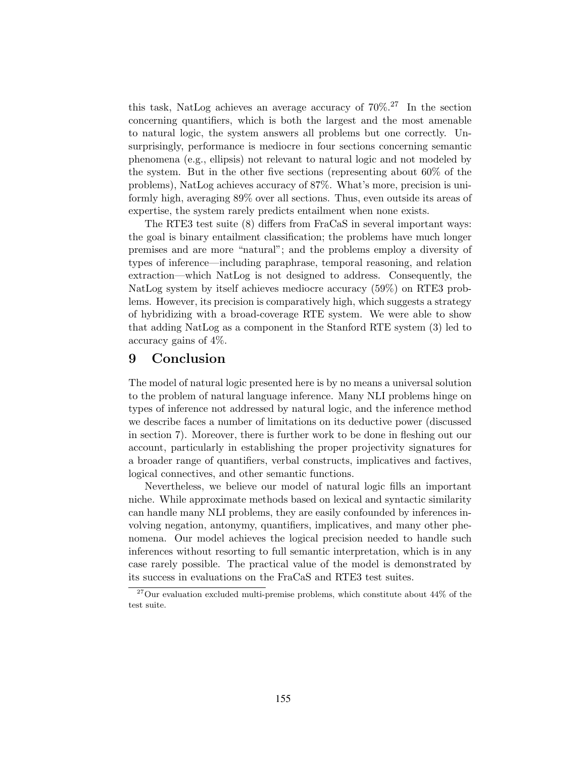this task, NatLog achieves an average accuracy of  $70\%$ <sup>27</sup> In the section concerning quantifiers, which is both the largest and the most amenable to natural logic, the system answers all problems but one correctly. Unsurprisingly, performance is mediocre in four sections concerning semantic phenomena (e.g., ellipsis) not relevant to natural logic and not modeled by the system. But in the other five sections (representing about 60% of the problems), NatLog achieves accuracy of 87%. What's more, precision is uniformly high, averaging 89% over all sections. Thus, even outside its areas of expertise, the system rarely predicts entailment when none exists.

The RTE3 test suite (8) differs from FraCaS in several important ways: the goal is binary entailment classification; the problems have much longer premises and are more "natural"; and the problems employ a diversity of types of inference—including paraphrase, temporal reasoning, and relation extraction—which NatLog is not designed to address. Consequently, the NatLog system by itself achieves mediocre accuracy (59%) on RTE3 problems. However, its precision is comparatively high, which suggests a strategy of hybridizing with a broad-coverage RTE system. We were able to show that adding NatLog as a component in the Stanford RTE system (3) led to accuracy gains of 4%.

#### 9 Conclusion

The model of natural logic presented here is by no means a universal solution to the problem of natural language inference. Many NLI problems hinge on types of inference not addressed by natural logic, and the inference method we describe faces a number of limitations on its deductive power (discussed in section 7). Moreover, there is further work to be done in fleshing out our account, particularly in establishing the proper projectivity signatures for a broader range of quantifiers, verbal constructs, implicatives and factives, logical connectives, and other semantic functions.

Nevertheless, we believe our model of natural logic fills an important niche. While approximate methods based on lexical and syntactic similarity can handle many NLI problems, they are easily confounded by inferences involving negation, antonymy, quantifiers, implicatives, and many other phenomena. Our model achieves the logical precision needed to handle such inferences without resorting to full semantic interpretation, which is in any case rarely possible. The practical value of the model is demonstrated by its success in evaluations on the FraCaS and RTE3 test suites.

 $27$ Our evaluation excluded multi-premise problems, which constitute about  $44\%$  of the test suite.